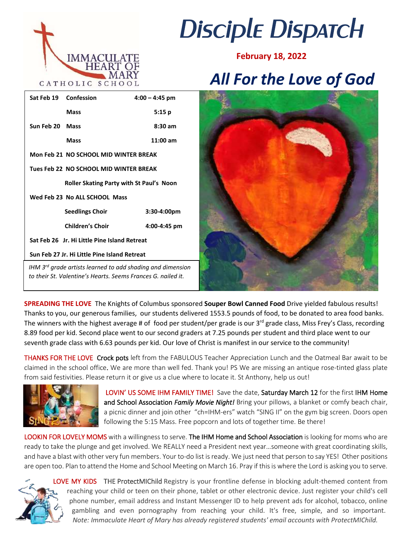

# *Disciple Dispatch*

**February 18, 2022**

# *All For the Love of God*

|                                                                                                                                        | Sat Feb 19 Confession                  | $4:00 - 4:45$ pm  |
|----------------------------------------------------------------------------------------------------------------------------------------|----------------------------------------|-------------------|
|                                                                                                                                        | Mass                                   | 5:15p             |
| Sun Feb 20 Mass                                                                                                                        |                                        | $8:30 \text{ am}$ |
|                                                                                                                                        | Mass                                   | $11:00$ am        |
|                                                                                                                                        | Mon Feb 21 NO SCHOOL MID WINTER BREAK  |                   |
|                                                                                                                                        | Tues Feb 22 NO SCHOOL MID WINTER BREAK |                   |
| <b>Roller Skating Party with St Paul's Noon</b>                                                                                        |                                        |                   |
| Wed Feb 23 No ALL SCHOOL Mass                                                                                                          |                                        |                   |
|                                                                                                                                        | <b>Seedlings Choir</b>                 | $3:30-4:00pm$     |
|                                                                                                                                        | <b>Children's Choir</b>                | 4:00-4:45 pm      |
| Sat Feb 26 Jr. Hi Little Pine Island Retreat                                                                                           |                                        |                   |
| Sun Feb 27 Jr. Hi Little Pine Island Retreat                                                                                           |                                        |                   |
| IHM 3 <sup>rd</sup> grade artists learned to add shading and dimension<br>to their St. Valentine's Hearts. Seems Frances G. nailed it. |                                        |                   |



**SPREADING THE LOVE** The Knights of Columbus sponsored **Souper Bowl Canned Food** Drive yielded fabulous results! Thanks to you, our generous families, our students delivered 1553.5 pounds of food, to be donated to area food banks. The winners with the highest average # of food per student/per grade is our 3<sup>rd</sup> grade class, Miss Frey's Class, recording 8.89 food per kid. Second place went to our second graders at 7.25 pounds per student and third place went to our seventh grade class with 6.63 pounds per kid. Our love of Christ is manifest in our service to the community!

THANKS FOR THE LOVE Crock pots left from the FABULOUS Teacher Appreciation Lunch and the Oatmeal Bar await to be claimed in the school office. We are more than well fed. Thank you! PS We are missing an antique rose-tinted glass plate from said festivities. Please return it or give us a clue where to locate it. St Anthony, help us out!



 LOVIN' US SOME IHM FAMILY TIME! Save the date, Saturday March 12 for the first IHM Home and School Association *Family Movie Night!* Bring your pillows, a blanket or comfy beach chair, a picnic dinner and join other "ch=IHM-ers" watch "SING II" on the gym big screen. Doors open following the 5:15 Mass. Free popcorn and lots of together time. Be there!

LOOKIN FOR LOVELY MOMS with a willingness to serve. The IHM Home and School Association is looking for moms who are ready to take the plunge and get involved. We REALLY need a President next year…someone with great coordinating skills, and have a blast with other very fun members. Your to-do list is ready. We just need that person to say YES! Other positions are open too. Plan to attend the Home and School Meeting on March 16. Pray if this is where the Lord is asking you to serve.



LOVE MY KIDS THE ProtectMIChild Registry is your frontline defense in blocking adult-themed content from reaching your child or teen on their phone, tablet or other electronic device. Just register your child's cell phone number, email address and Instant Messenger ID to help prevent ads for alcohol, tobacco, online gambling and even pornography from reaching your child. It's free, simple, and so important. *Note: Immaculate Heart of Mary has already registered students' email accounts with ProtectMIChild.*